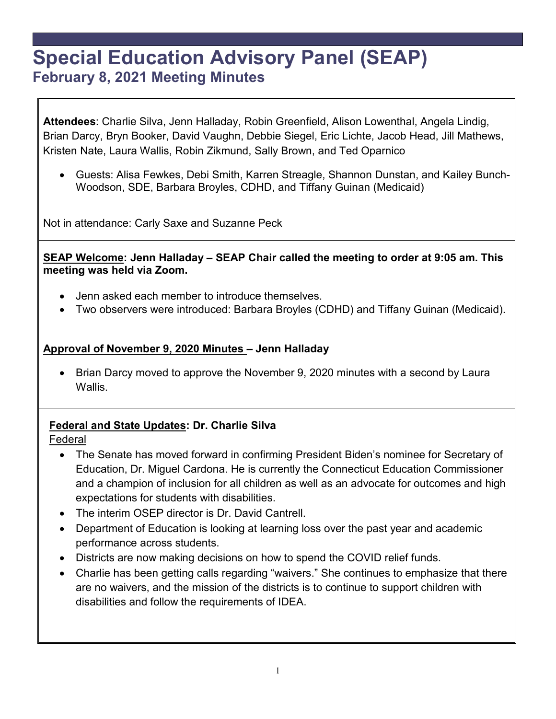# **Special Education Advisory Panel (SEAP) February 8, 2021 Meeting Minutes**

**Attendees**: Charlie Silva, Jenn Halladay, Robin Greenfield, Alison Lowenthal, Angela Lindig, Brian Darcy, Bryn Booker, David Vaughn, Debbie Siegel, Eric Lichte, Jacob Head, Jill Mathews, Kristen Nate, Laura Wallis, Robin Zikmund, Sally Brown, and Ted Oparnico

• Guests: Alisa Fewkes, Debi Smith, Karren Streagle, Shannon Dunstan, and Kailey Bunch-Woodson, SDE, Barbara Broyles, CDHD, and Tiffany Guinan (Medicaid)

Not in attendance: Carly Saxe and Suzanne Peck

**SEAP Welcome: Jenn Halladay – SEAP Chair called the meeting to order at 9:05 am. This meeting was held via Zoom.**

- Jenn asked each member to introduce themselves.
- Two observers were introduced: Barbara Broyles (CDHD) and Tiffany Guinan (Medicaid).

#### **Approval of November 9, 2020 Minutes – Jenn Halladay**

• Brian Darcy moved to approve the November 9, 2020 minutes with a second by Laura Wallis.

## **Federal and State Updates: Dr. Charlie Silva**

Federal

- The Senate has moved forward in confirming President Biden's nominee for Secretary of Education, Dr. Miguel Cardona. He is currently the Connecticut Education Commissioner and a champion of inclusion for all children as well as an advocate for outcomes and high expectations for students with disabilities.
- The interim OSEP director is Dr. David Cantrell.
- Department of Education is looking at learning loss over the past year and academic performance across students.
- Districts are now making decisions on how to spend the COVID relief funds.
- Charlie has been getting calls regarding "waivers." She continues to emphasize that there are no waivers, and the mission of the districts is to continue to support children with disabilities and follow the requirements of IDEA.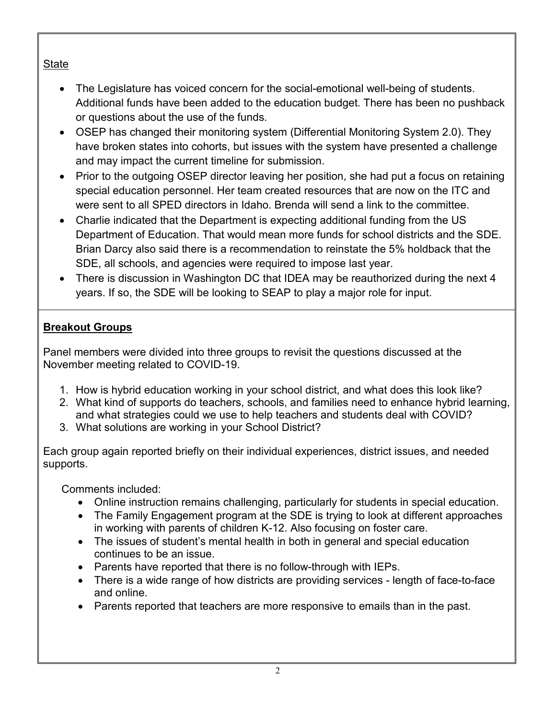## State

- The Legislature has voiced concern for the social-emotional well-being of students. Additional funds have been added to the education budget. There has been no pushback or questions about the use of the funds.
- OSEP has changed their monitoring system (Differential Monitoring System 2.0). They have broken states into cohorts, but issues with the system have presented a challenge and may impact the current timeline for submission.
- Prior to the outgoing OSEP director leaving her position, she had put a focus on retaining special education personnel. Her team created resources that are now on the ITC and were sent to all SPED directors in Idaho. Brenda will send a link to the committee.
- Charlie indicated that the Department is expecting additional funding from the US Department of Education. That would mean more funds for school districts and the SDE. Brian Darcy also said there is a recommendation to reinstate the 5% holdback that the SDE, all schools, and agencies were required to impose last year.
- There is discussion in Washington DC that IDEA may be reauthorized during the next 4 years. If so, the SDE will be looking to SEAP to play a major role for input.

## **Breakout Groups**

Panel members were divided into three groups to revisit the questions discussed at the November meeting related to COVID-19.

- 1. How is hybrid education working in your school district, and what does this look like?
- 2. What kind of supports do teachers, schools, and families need to enhance hybrid learning, and what strategies could we use to help teachers and students deal with COVID?
- 3. What solutions are working in your School District?

Each group again reported briefly on their individual experiences, district issues, and needed supports.

Comments included:

- Online instruction remains challenging, particularly for students in special education.
- The Family Engagement program at the SDE is trying to look at different approaches in working with parents of children K-12. Also focusing on foster care.
- The issues of student's mental health in both in general and special education continues to be an issue.
- Parents have reported that there is no follow-through with IEPs.
- There is a wide range of how districts are providing services length of face-to-face and online.
- Parents reported that teachers are more responsive to emails than in the past.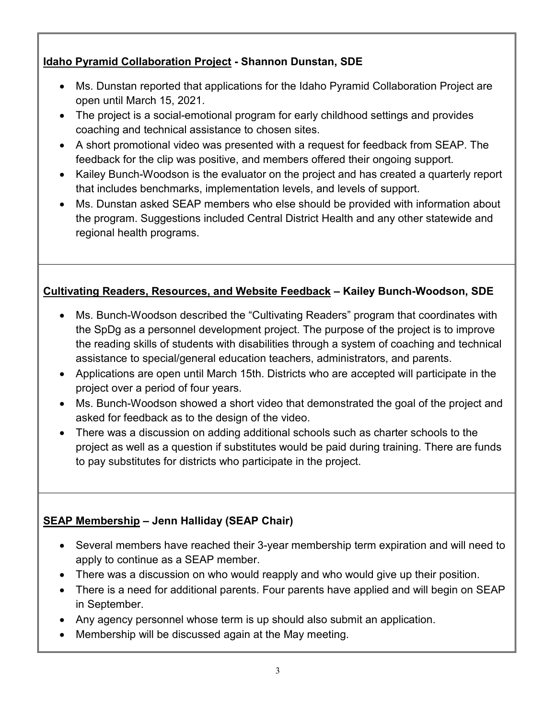## **Idaho Pyramid Collaboration Project - Shannon Dunstan, SDE**

- Ms. Dunstan reported that applications for the Idaho Pyramid Collaboration Project are open until March 15, 2021.
- The project is a social-emotional program for early childhood settings and provides coaching and technical assistance to chosen sites.
- A short promotional video was presented with a request for feedback from SEAP. The feedback for the clip was positive, and members offered their ongoing support.
- Kailey Bunch-Woodson is the evaluator on the project and has created a quarterly report that includes benchmarks, implementation levels, and levels of support.
- Ms. Dunstan asked SEAP members who else should be provided with information about the program. Suggestions included Central District Health and any other statewide and regional health programs.

# **Cultivating Readers, Resources, and Website Feedback – Kailey Bunch-Woodson, SDE**

- Ms. Bunch-Woodson described the "Cultivating Readers" program that coordinates with the SpDg as a personnel development project. The purpose of the project is to improve the reading skills of students with disabilities through a system of coaching and technical assistance to special/general education teachers, administrators, and parents.
- Applications are open until March 15th. Districts who are accepted will participate in the project over a period of four years.
- Ms. Bunch-Woodson showed a short video that demonstrated the goal of the project and asked for feedback as to the design of the video.
- There was a discussion on adding additional schools such as charter schools to the project as well as a question if substitutes would be paid during training. There are funds to pay substitutes for districts who participate in the project.

# **SEAP Membership – Jenn Halliday (SEAP Chair)**

- Several members have reached their 3-year membership term expiration and will need to apply to continue as a SEAP member.
- There was a discussion on who would reapply and who would give up their position.
- There is a need for additional parents. Four parents have applied and will begin on SEAP in September.
- Any agency personnel whose term is up should also submit an application.
- Membership will be discussed again at the May meeting.